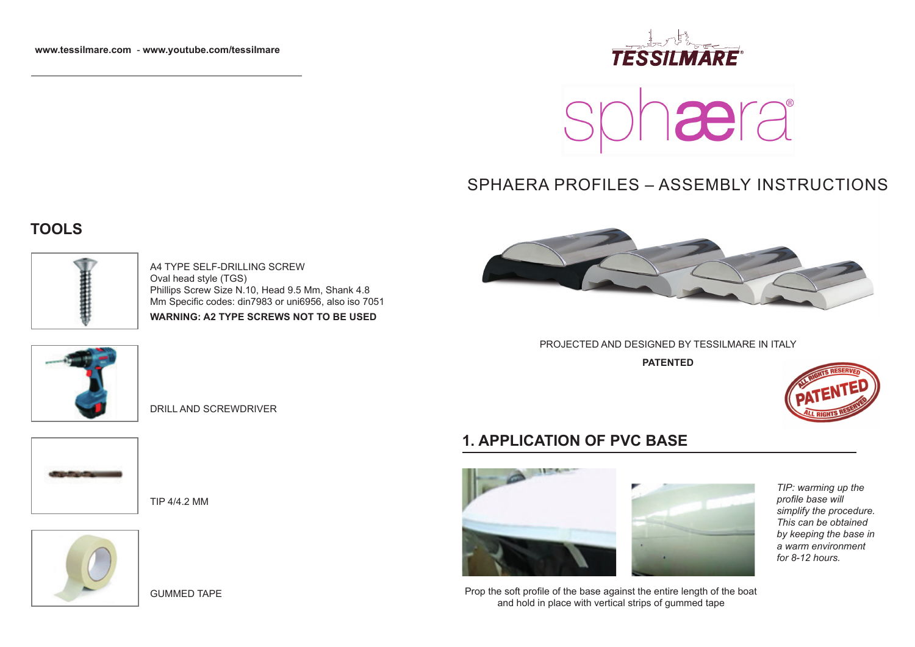



# SPHAERA PROFILES – ASSEMBLY INSTRUCTIONS

## **TOOLS**



A4 TYPE SELF-DRILLING SCREW Oval head style (TGS) Phillips Screw Size N.10, Head 9.5 Mm, Shank 4.8 Mm Specific codes: din7983 or uni6956, also iso 7051 **WARNING: A2 TYPE SCREWS NOT TO BE USED**



DRILL AND SCREWDRIVER



TIP 4/4.2 MM







PROJECTED AND DESIGNED BY TESSILMARE IN ITALY

**PATENTED**



#### **1. APPLICATION OF PVC BASE**





 Prop the soft profile of the base against the entire length of the boat and hold in place with vertical strips of gummed tape